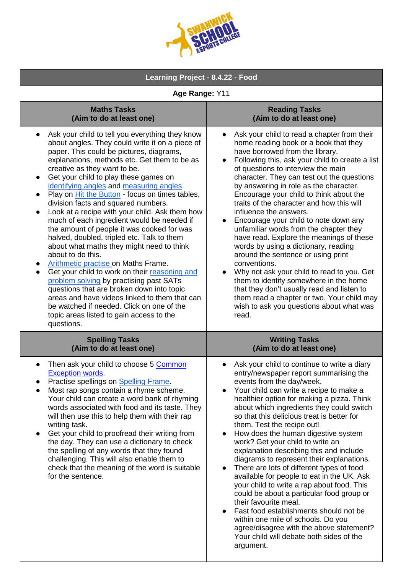| LLEGE<br><b>S GOITE</b><br>73 |
|-------------------------------|
|-------------------------------|

| Learning Project - 8.4.22 - Food                                                                                                                                                                                                                                                                                                                                                                                                                                                                                                                                                                                                                                                                                                                                                                                                                                                                                                                                                                                                                     |                                                                                                                                                                                                                                                                                                                                                                                                                                                                                                                                                                                                                                                                                                                                                                                                                                                                                                               |
|------------------------------------------------------------------------------------------------------------------------------------------------------------------------------------------------------------------------------------------------------------------------------------------------------------------------------------------------------------------------------------------------------------------------------------------------------------------------------------------------------------------------------------------------------------------------------------------------------------------------------------------------------------------------------------------------------------------------------------------------------------------------------------------------------------------------------------------------------------------------------------------------------------------------------------------------------------------------------------------------------------------------------------------------------|---------------------------------------------------------------------------------------------------------------------------------------------------------------------------------------------------------------------------------------------------------------------------------------------------------------------------------------------------------------------------------------------------------------------------------------------------------------------------------------------------------------------------------------------------------------------------------------------------------------------------------------------------------------------------------------------------------------------------------------------------------------------------------------------------------------------------------------------------------------------------------------------------------------|
| Age Range: Y11                                                                                                                                                                                                                                                                                                                                                                                                                                                                                                                                                                                                                                                                                                                                                                                                                                                                                                                                                                                                                                       |                                                                                                                                                                                                                                                                                                                                                                                                                                                                                                                                                                                                                                                                                                                                                                                                                                                                                                               |
| <b>Maths Tasks</b><br>(Aim to do at least one)                                                                                                                                                                                                                                                                                                                                                                                                                                                                                                                                                                                                                                                                                                                                                                                                                                                                                                                                                                                                       | <b>Reading Tasks</b><br>(Aim to do at least one)                                                                                                                                                                                                                                                                                                                                                                                                                                                                                                                                                                                                                                                                                                                                                                                                                                                              |
| Ask your child to tell you everything they know<br>about angles. They could write it on a piece of<br>paper. This could be pictures, diagrams,<br>explanations, methods etc. Get them to be as<br>creative as they want to be.<br>Get your child to play these games on<br>identifying angles and measuring angles.<br>Play on <b>Hit the Button</b> - focus on times tables,<br>division facts and squared numbers.<br>Look at a recipe with your child. Ask them how<br>$\bullet$<br>much of each ingredient would be needed if<br>the amount of people it was cooked for was<br>halved, doubled, tripled etc. Talk to them<br>about what maths they might need to think<br>about to do this.<br>Arithmetic practise on Maths Frame.<br>Get your child to work on their reasoning and<br>$\bullet$<br>problem solving by practising past SATs<br>questions that are broken down into topic<br>areas and have videos linked to them that can<br>be watched if needed. Click on one of the<br>topic areas listed to gain access to the<br>questions. | Ask your child to read a chapter from their<br>home reading book or a book that they<br>have borrowed from the library.<br>Following this, ask your child to create a list<br>of questions to interview the main<br>character. They can test out the questions<br>by answering in role as the character.<br>Encourage your child to think about the<br>traits of the character and how this will<br>influence the answers.<br>Encourage your child to note down any<br>$\bullet$<br>unfamiliar words from the chapter they<br>have read. Explore the meanings of these<br>words by using a dictionary, reading<br>around the sentence or using print<br>conventions.<br>Why not ask your child to read to you. Get<br>them to identify somewhere in the home<br>that they don't usually read and listen to<br>them read a chapter or two. Your child may<br>wish to ask you questions about what was<br>read. |
| <b>Spelling Tasks</b><br>(Aim to do at least one)                                                                                                                                                                                                                                                                                                                                                                                                                                                                                                                                                                                                                                                                                                                                                                                                                                                                                                                                                                                                    | <b>Writing Tasks</b><br>(Aim to do at least one)                                                                                                                                                                                                                                                                                                                                                                                                                                                                                                                                                                                                                                                                                                                                                                                                                                                              |
| Then ask your child to choose 5 Common<br><b>Exception words.</b><br>Practise spellings on Spelling Frame.<br>Most rap songs contain a rhyme scheme.<br>Your child can create a word bank of rhyming<br>words associated with food and its taste. They<br>will then use this to help them with their rap<br>writing task.<br>Get your child to proofread their writing from<br>the day. They can use a dictionary to check<br>the spelling of any words that they found<br>challenging. This will also enable them to<br>check that the meaning of the word is suitable<br>for the sentence.                                                                                                                                                                                                                                                                                                                                                                                                                                                         | Ask your child to continue to write a diary<br>entry/newspaper report summarising the<br>events from the day/week.<br>Your child can write a recipe to make a<br>healthier option for making a pizza. Think<br>about which ingredients they could switch<br>so that this delicious treat is better for<br>them. Test the recipe out!<br>How does the human digestive system<br>work? Get your child to write an<br>explanation describing this and include<br>diagrams to represent their explanations.<br>There are lots of different types of food<br>available for people to eat in the UK. Ask<br>your child to write a rap about food. This<br>could be about a particular food group or<br>their favourite meal.<br>Fast food establishments should not be<br>within one mile of schools. Do you<br>agree/disagree with the above statement?<br>Your child will debate both sides of the<br>argument.   |